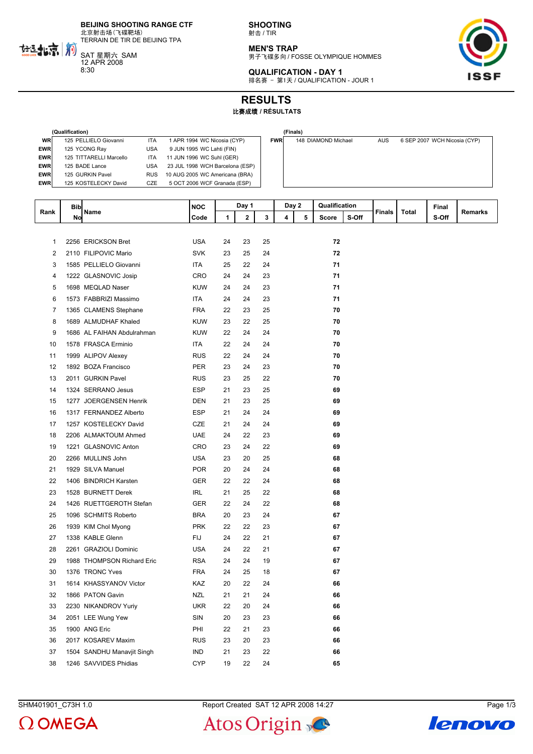**BEIJING SHOOTING RANGE CTF** 北京射击场(飞碟靶场)

TERRAIN DE TIR DE BEIJING TPA

SAT 星期六 SAM 12 APR 2008 8:30

热批京前

**SHOOTING** 射击 / TIR

**MEN'S TRAP** 男子飞碟多向 / FOSSE OLYMPIQUE HOMMES





**RESULTS**

## 比赛成绩 **/ RÉSULTATS**

|            | (Qualification)         |            |                                 |            | (Finals)            |            |                              |  |  |  |
|------------|-------------------------|------------|---------------------------------|------------|---------------------|------------|------------------------------|--|--|--|
| <b>WR</b>  | 125 PELLIELO Giovanni   | <b>ITA</b> | 1 APR 1994 WC Nicosia (CYP)     | <b>FWR</b> | 148 DIAMOND Michael | <b>AUS</b> | 6 SEP 2007 WCH Nicosia (CYP) |  |  |  |
| <b>EWR</b> | 125 YCONG Ray           | <b>USA</b> | 9 JUN 1995 WC Lahti (FIN)       |            |                     |            |                              |  |  |  |
| <b>EWR</b> | 125 TITTARELLI Marcello | <b>ITA</b> | 11 JUN 1996 WC Suhl (GER)       |            |                     |            |                              |  |  |  |
| <b>EWR</b> | 125 BADE Lance          | USA        | 23 JUL 1998 WCH Barcelona (ESP) |            |                     |            |                              |  |  |  |
| <b>EWR</b> | 125 GURKIN Pavel        | <b>RUS</b> | 10 AUG 2005 WC Americana (BRA)  |            |                     |            |                              |  |  |  |
| <b>EWR</b> | 125 KOSTELECKY David    | CZE        | 5 OCT 2006 WCF Granada (ESP)    |            |                     |            |                              |  |  |  |

|            | (Finais)            |            |                              |
|------------|---------------------|------------|------------------------------|
| <b>FWR</b> | 148 DIAMOND Michael | <b>AUS</b> | 6 SEP 2007 WCH Nicosia (CYP) |
|            |                     |            |                              |
|            |                     |            |                              |
|            |                     |            |                              |
|            |                     |            |                              |
|            |                     |            |                              |
|            |                     |            |                              |
|            |                     |            |                              |

|                         | <b>Bib</b> |                            | <b>NOC</b><br>Day 1 |    | Day 2 |    | Qualification |   |       |       | Final  |       |       |         |
|-------------------------|------------|----------------------------|---------------------|----|-------|----|---------------|---|-------|-------|--------|-------|-------|---------|
| Rank                    | No         | Name                       | Code                | 1  | 2     | 3  | 4             | 5 | Score | S-Off | Finals | Total | S-Off | Remarks |
|                         |            |                            |                     |    |       |    |               |   |       |       |        |       |       |         |
| 1                       |            | 2256 ERICKSON Bret         | <b>USA</b>          | 24 | 23    | 25 |               |   | 72    |       |        |       |       |         |
| $\overline{\mathbf{c}}$ |            | 2110 FILIPOVIC Mario       | <b>SVK</b>          | 23 | 25    | 24 |               |   | 72    |       |        |       |       |         |
| 3                       |            | 1585 PELLIELO Giovanni     | <b>ITA</b>          | 25 | 22    | 24 |               |   | 71    |       |        |       |       |         |
| 4                       |            | 1222 GLASNOVIC Josip       | <b>CRO</b>          | 24 | 24    | 23 |               |   | 71    |       |        |       |       |         |
| 5                       |            | 1698 MEQLAD Naser          | <b>KUW</b>          | 24 | 24    | 23 |               |   | 71    |       |        |       |       |         |
| 6                       |            | 1573 FABBRIZI Massimo      | <b>ITA</b>          | 24 | 24    | 23 |               |   | 71    |       |        |       |       |         |
| $\overline{7}$          |            | 1365 CLAMENS Stephane      | <b>FRA</b>          | 22 | 23    | 25 |               |   | 70    |       |        |       |       |         |
| 8                       |            | 1689 ALMUDHAF Khaled       | <b>KUW</b>          | 23 | 22    | 25 |               |   | 70    |       |        |       |       |         |
| 9                       |            | 1686 AL FAIHAN Abdulrahman | <b>KUW</b>          | 22 | 24    | 24 |               |   | 70    |       |        |       |       |         |
| 10                      |            | 1578 FRASCA Erminio        | ITA                 | 22 | 24    | 24 |               |   | 70    |       |        |       |       |         |
| 11                      |            | 1999 ALIPOV Alexey         | <b>RUS</b>          | 22 | 24    | 24 |               |   | 70    |       |        |       |       |         |
| 12                      |            | 1892 BOZA Francisco        | <b>PER</b>          | 23 | 24    | 23 |               |   | 70    |       |        |       |       |         |
| 13                      |            | 2011 GURKIN Pavel          | <b>RUS</b>          | 23 | 25    | 22 |               |   | 70    |       |        |       |       |         |
| 14                      |            | 1324 SERRANO Jesus         | <b>ESP</b>          | 21 | 23    | 25 |               |   | 69    |       |        |       |       |         |
| 15                      |            | 1277 JOERGENSEN Henrik     | <b>DEN</b>          | 21 | 23    | 25 |               |   | 69    |       |        |       |       |         |
| 16                      |            | 1317 FERNANDEZ Alberto     | <b>ESP</b>          | 21 | 24    | 24 |               |   | 69    |       |        |       |       |         |
| 17                      |            | 1257 KOSTELECKY David      | CZE                 | 21 | 24    | 24 |               |   | 69    |       |        |       |       |         |
| 18                      |            | 2206 ALMAKTOUM Ahmed       | <b>UAE</b>          | 24 | 22    | 23 |               |   | 69    |       |        |       |       |         |
| 19                      |            | 1221 GLASNOVIC Anton       | <b>CRO</b>          | 23 | 24    | 22 |               |   | 69    |       |        |       |       |         |
| 20                      |            | 2266 MULLINS John          | <b>USA</b>          | 23 | 20    | 25 |               |   | 68    |       |        |       |       |         |
| 21                      |            | 1929 SILVA Manuel          | <b>POR</b>          | 20 | 24    | 24 |               |   | 68    |       |        |       |       |         |
| 22                      |            | 1406 BINDRICH Karsten      | <b>GER</b>          | 22 | 22    | 24 |               |   | 68    |       |        |       |       |         |
| 23                      |            | 1528 BURNETT Derek         | <b>IRL</b>          | 21 | 25    | 22 |               |   | 68    |       |        |       |       |         |
| 24                      |            | 1426 RUETTGEROTH Stefan    | GER                 | 22 | 24    | 22 |               |   | 68    |       |        |       |       |         |
| 25                      |            | 1096 SCHMITS Roberto       | <b>BRA</b>          | 20 | 23    | 24 |               |   | 67    |       |        |       |       |         |
| 26                      |            | 1939 KIM Chol Myong        | <b>PRK</b>          | 22 | 22    | 23 |               |   | 67    |       |        |       |       |         |
| 27                      |            | 1338 KABLE Glenn           | FIJ                 | 24 | 22    | 21 |               |   | 67    |       |        |       |       |         |
| 28                      |            | 2261 GRAZIOLI Dominic      | <b>USA</b>          | 24 | 22    | 21 |               |   | 67    |       |        |       |       |         |
| 29                      |            | 1988 THOMPSON Richard Eric | <b>RSA</b>          | 24 | 24    | 19 |               |   | 67    |       |        |       |       |         |
| 30                      |            | 1376 TRONC Yves            | <b>FRA</b>          | 24 | 25    | 18 |               |   | 67    |       |        |       |       |         |
| 31                      |            | 1614 KHASSYANOV Victor     | KAZ                 | 20 | 22    | 24 |               |   | 66    |       |        |       |       |         |
| 32                      |            | 1866 PATON Gavin           | <b>NZL</b>          | 21 | 21    | 24 |               |   | 66    |       |        |       |       |         |
| 33                      |            | 2230 NIKANDROV Yuriy       | <b>UKR</b>          | 22 | 20    | 24 |               |   | 66    |       |        |       |       |         |
| 34                      |            | 2051 LEE Wung Yew          | SIN                 | 20 | 23    | 23 |               |   | 66    |       |        |       |       |         |
| 35                      |            | 1900 ANG Eric              | PHI                 | 22 | 21    | 23 |               |   | 66    |       |        |       |       |         |
| 36                      |            | 2017 KOSAREV Maxim         | <b>RUS</b>          | 23 | 20    | 23 |               |   | 66    |       |        |       |       |         |
| 37                      |            | 1504 SANDHU Manavjit Singh | <b>IND</b>          | 21 | 23    | 22 |               |   | 66    |       |        |       |       |         |
| 38                      |            | 1246 SAVVIDES Phidias      | <b>CYP</b>          | 19 | 22    | 24 |               |   | 65    |       |        |       |       |         |

 $\Omega$  OMEGA

SHM401901\_C73H 1.0 Report Created SAT 12 APR 2008 14:27 Page 1/3



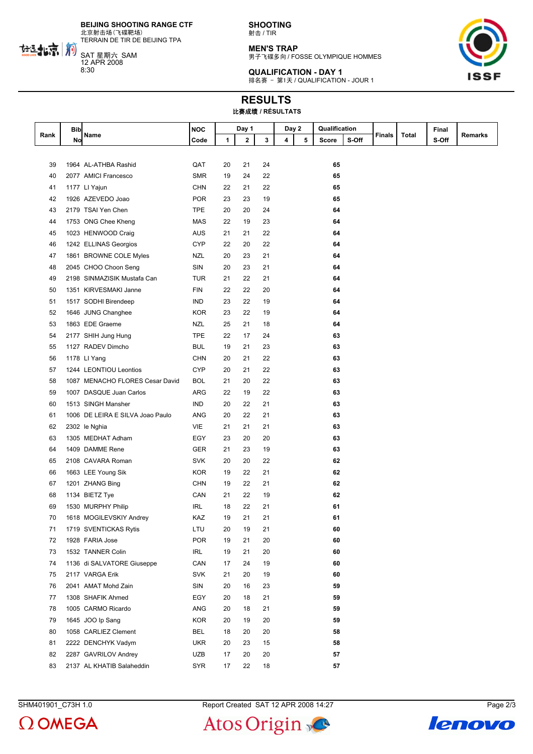**BEIJING SHOOTING RANGE CTF** 北京射击场(飞碟靶场)

TERRAIN DE TIR DE BEIJING TPA

SAT 星期六 SAM 12 APR 2008 8:30

热批京前

**SHOOTING** 射击 / TIR

**MEN'S TRAP** 男子飞碟多向 / FOSSE OLYMPIQUE HOMMES



**QUALIFICATION - DAY 1** 排名赛 - 第1天 / QUALIFICATION - JOUR 1

## **RESULTS** 比赛成绩 **/ RÉSULTATS**

|      | <b>Bib</b> |                                  | <b>NOC</b> |    | Day 1        |    | Day 2 |   | Qualification |       |               |       | Final |                |
|------|------------|----------------------------------|------------|----|--------------|----|-------|---|---------------|-------|---------------|-------|-------|----------------|
| Rank | No         | Name                             | Code       | 1  | $\mathbf{2}$ | 3  | 4     | 5 | Score         | S-Off | <b>Finals</b> | Total | S-Off | <b>Remarks</b> |
|      |            |                                  |            |    |              |    |       |   |               |       |               |       |       |                |
| 39   |            | 1964 AL-ATHBA Rashid             | QAT        | 20 | 21           | 24 |       |   | 65            |       |               |       |       |                |
| 40   |            | 2077 AMICI Francesco             | <b>SMR</b> | 19 | 24           | 22 |       |   | 65            |       |               |       |       |                |
| 41   |            | 1177 LI Yajun                    | <b>CHN</b> | 22 | 21           | 22 |       |   | 65            |       |               |       |       |                |
| 42   |            | 1926 AZEVEDO Joao                | <b>POR</b> | 23 | 23           | 19 |       |   | 65            |       |               |       |       |                |
| 43   |            | 2179 TSAI Yen Chen               | <b>TPE</b> | 20 | 20           | 24 |       |   | 64            |       |               |       |       |                |
| 44   |            | 1753 ONG Chee Kheng              | <b>MAS</b> | 22 | 19           | 23 |       |   | 64            |       |               |       |       |                |
| 45   |            | 1023 HENWOOD Craig               | AUS        | 21 | 21           | 22 |       |   | 64            |       |               |       |       |                |
| 46   |            | 1242 ELLINAS Georgios            | <b>CYP</b> | 22 | 20           | 22 |       |   | 64            |       |               |       |       |                |
| 47   |            | 1861 BROWNE COLE Myles           | NZL        | 20 | 23           | 21 |       |   | 64            |       |               |       |       |                |
| 48   |            | 2045 CHOO Choon Seng             | SIN        | 20 | 23           | 21 |       |   | 64            |       |               |       |       |                |
| 49   |            | 2198 SINMAZISIK Mustafa Can      | TUR        | 21 | 22           | 21 |       |   | 64            |       |               |       |       |                |
| 50   |            | 1351 KIRVESMAKI Janne            | <b>FIN</b> | 22 | 22           | 20 |       |   | 64            |       |               |       |       |                |
| 51   |            | 1517 SODHI Birendeep             | IND        | 23 | 22           | 19 |       |   | 64            |       |               |       |       |                |
| 52   |            | 1646 JUNG Changhee               | <b>KOR</b> | 23 | 22           | 19 |       |   | 64            |       |               |       |       |                |
| 53   |            | 1863 EDE Graeme                  | NZL        | 25 | 21           | 18 |       |   | 64            |       |               |       |       |                |
| 54   |            | 2177 SHIH Jung Hung              | <b>TPE</b> | 22 | 17           | 24 |       |   | 63            |       |               |       |       |                |
| 55   |            | 1127 RADEV Dimcho                | BUL        | 19 | 21           | 23 |       |   | 63            |       |               |       |       |                |
| 56   |            | 1178 LI Yang                     | <b>CHN</b> | 20 | 21           | 22 |       |   | 63            |       |               |       |       |                |
| 57   |            | 1244 LEONTIOU Leontios           | CYP        | 20 | 21           | 22 |       |   | 63            |       |               |       |       |                |
| 58   |            | 1087 MENACHO FLORES Cesar David  | <b>BOL</b> | 21 | 20           | 22 |       |   | 63            |       |               |       |       |                |
| 59   |            | 1007 DASQUE Juan Carlos          | ARG        | 22 | 19           | 22 |       |   | 63            |       |               |       |       |                |
| 60   |            | 1513 SINGH Mansher               | <b>IND</b> | 20 | 22           | 21 |       |   | 63            |       |               |       |       |                |
| 61   |            | 1006 DE LEIRA E SILVA Joao Paulo | <b>ANG</b> | 20 | 22           | 21 |       |   | 63            |       |               |       |       |                |
| 62   |            | 2302 le Nghia                    | VIE        | 21 | 21           | 21 |       |   | 63            |       |               |       |       |                |
| 63   |            | 1305 MEDHAT Adham                | EGY        | 23 | 20           | 20 |       |   | 63            |       |               |       |       |                |
| 64   |            | 1409 DAMME Rene                  | GER        | 21 | 23           | 19 |       |   | 63            |       |               |       |       |                |
| 65   |            | 2108 CAVARA Roman                | <b>SVK</b> | 20 | 20           | 22 |       |   | 62            |       |               |       |       |                |
| 66   |            | 1663 LEE Young Sik               | <b>KOR</b> | 19 | 22           | 21 |       |   | 62            |       |               |       |       |                |
| 67   |            | 1201 ZHANG Bing                  | <b>CHN</b> | 19 | 22           | 21 |       |   | 62            |       |               |       |       |                |
| 68   |            | 1134 BIETZ Tye                   | CAN        | 21 | 22           | 19 |       |   | 62            |       |               |       |       |                |
| 69   |            | 1530 MURPHY Philip               | IRL        | 18 | 22           | 21 |       |   | 61            |       |               |       |       |                |
| 70   |            | 1618 MOGILEVSKIY Andrey          | KAZ        | 19 | 21           | 21 |       |   | 61            |       |               |       |       |                |
| 71   |            | 1719 SVENTICKAS Rytis            | LTU        | 20 | 19           | 21 |       |   | 60            |       |               |       |       |                |
| 72   |            | 1928 FARIA Jose                  | <b>POR</b> | 19 | 21           | 20 |       |   | 60            |       |               |       |       |                |
| 73   |            | 1532 TANNER Colin                | IRL        | 19 | 21           | 20 |       |   | 60            |       |               |       |       |                |
| 74   |            | 1136 di SALVATORE Giuseppe       | CAN        | 17 | 24           | 19 |       |   | 60            |       |               |       |       |                |
| 75   |            | 2117 VARGA Erik                  | <b>SVK</b> | 21 | 20           | 19 |       |   | 60            |       |               |       |       |                |
| 76   |            | 2041 AMAT Mohd Zain              | SIN        | 20 | 16           | 23 |       |   | 59            |       |               |       |       |                |
| 77   |            | 1308 SHAFIK Ahmed                | EGY        | 20 | 18           | 21 |       |   | 59            |       |               |       |       |                |
| 78   |            | 1005 CARMO Ricardo               | ANG        | 20 | 18           | 21 |       |   | 59            |       |               |       |       |                |
| 79   |            | 1645 JOO Ip Sang                 | <b>KOR</b> | 20 | 19           | 20 |       |   | 59            |       |               |       |       |                |
| 80   |            | 1058 CARLIEZ Clement             | BEL        | 18 | 20           | 20 |       |   | 58            |       |               |       |       |                |
| 81   |            | 2222 DENCHYK Vadym               | <b>UKR</b> | 20 | 23           | 15 |       |   | 58            |       |               |       |       |                |
| 82   |            | 2287 GAVRILOV Andrey             | UZB        | 17 | 20           | 20 |       |   | 57            |       |               |       |       |                |
| 83   |            | 2137 AL KHATIB Salaheddin        | <b>SYR</b> | 17 | 22           | 18 |       |   | 57            |       |               |       |       |                |

 $\Omega$  OMEGA

SHM401901\_C73H 1.0 Report Created SAT 12 APR 2008 14:27 Page 2/3

Atos Origin